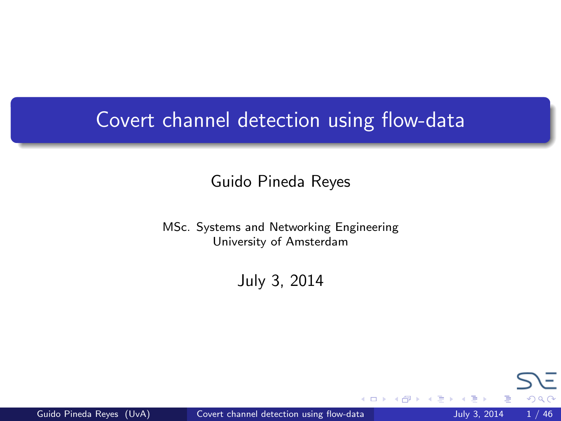## <span id="page-0-0"></span>Covert channel detection using flow-data

#### Guido Pineda Reyes

MSc. Systems and Networking Engineering University of Amsterdam

July 3, 2014

4 D F

 $\Omega$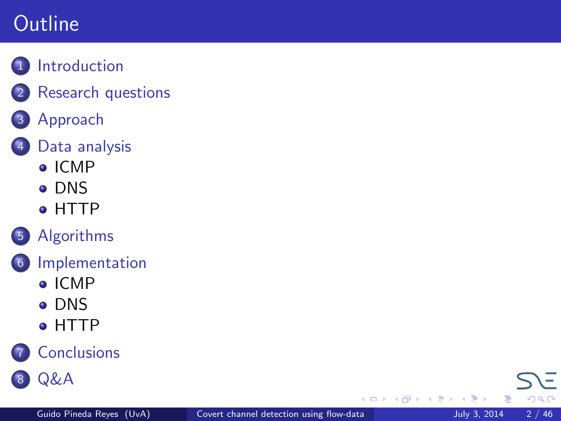## **Outline**

- 1 [Introduction](#page-2-0)
	- **[Research questions](#page-6-0)**
- 3 [Approach](#page-7-0)



- 4 [Data analysis](#page-13-0)
	- $\bullet$  [ICMP](#page-13-0)
	- [DNS](#page-17-0)
	- [HTTP](#page-24-0)



- 6 [Implementation](#page-33-0)
	- [ICMP](#page-33-0)
	- **[DNS](#page-36-0)**
	- **[HTTP](#page-38-0)**





Þ þ

4 D F ∢●  $\rightarrow$ ×. E K 4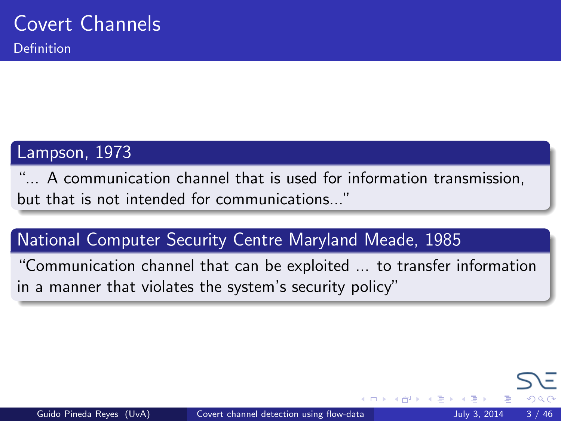#### <span id="page-2-0"></span>Lampson, 1973

"... A communication channel that is used for information transmission, but that is not intended for communications..."

#### National Computer Security Centre Maryland Meade, 1985

"Communication channel that can be exploited ... to transfer information in a manner that violates the system's security policy"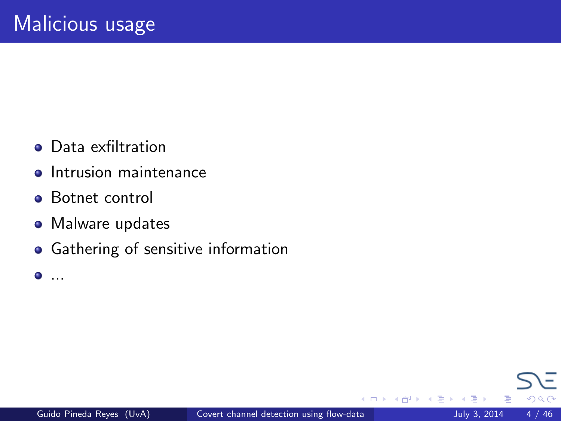- **•** Data exfiltration
- **•** Intrusion maintenance
- **•** Botnet control
- Malware updates
- **•** Gathering of sensitive information

 $\bullet$ ...

4 D F

つひひ

э  $\rightarrow$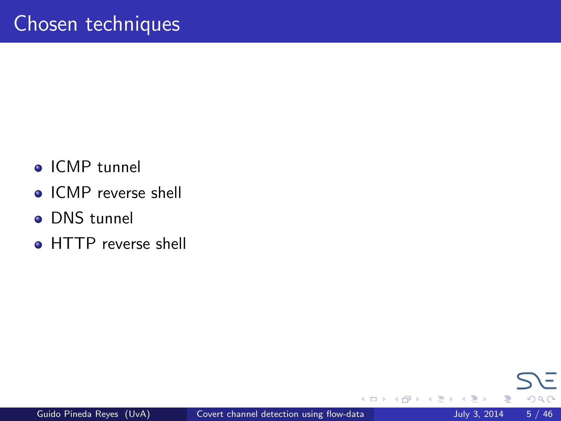- ICMP tunnel
- ICMP reverse shell
- DNS tunnel
- HTTP reverse shell

4 D F

 $200$ 

E

Э×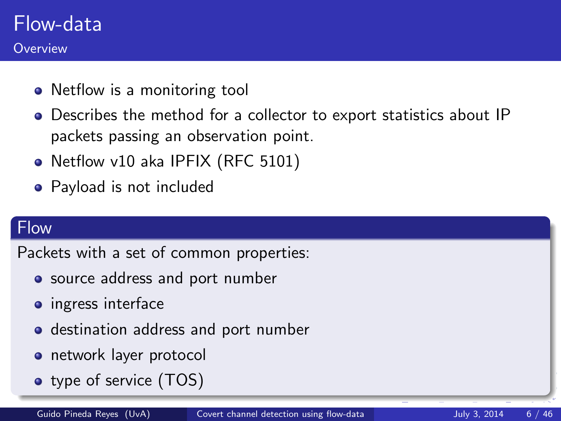### Flow-data **Overview**

- Netflow is a monitoring tool
- Describes the method for a collector to export statistics about IP packets passing an observation point.
- Netflow v10 aka IPFIX (RFC 5101)
- Payload is not included

#### **Flow**

Packets with a set of common properties:

- source address and port number
- ingress interface
- destination address and port number
- **o** network layer protocol
- type of service (TOS)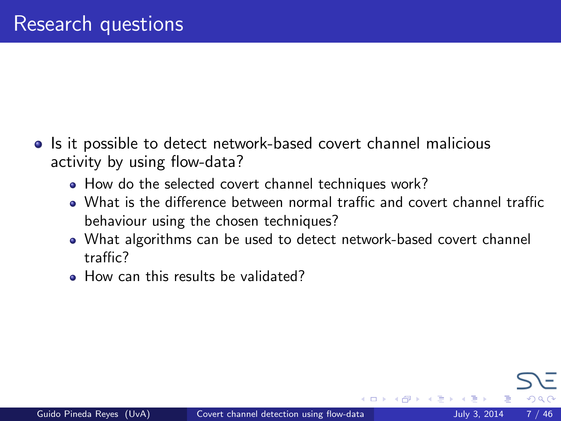- <span id="page-6-0"></span>• Is it possible to detect network-based covert channel malicious activity by using flow-data?
	- How do the selected covert channel techniques work?
	- What is the difference between normal traffic and covert channel traffic behaviour using the chosen techniques?
	- What algorithms can be used to detect network-based covert channel traffic?
	- **How can this results be validated?**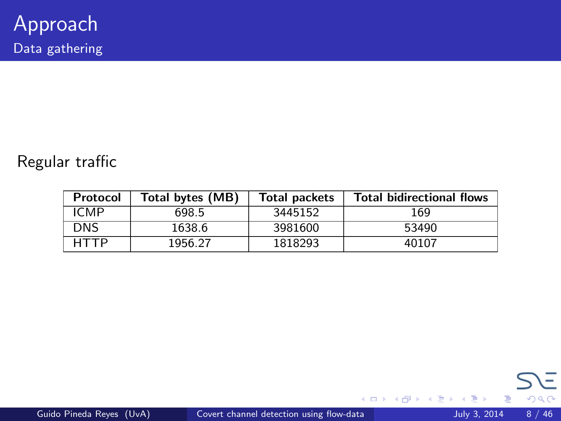#### <span id="page-7-0"></span>Regular traffic

| Protocol    | Total bytes (MB) | <b>Total packets</b> | <b>Total bidirectional flows</b> |
|-------------|------------------|----------------------|----------------------------------|
| <b>ICMP</b> | 698.5            | 3445152              | 169                              |
| <b>DNS</b>  | 1638.6           | 3981600              | 53490                            |
| HTTP        | 1956.27          | 1818293              | 40107                            |

重

 $299$ 

イロト イ部 トメ ヨ トメ ヨト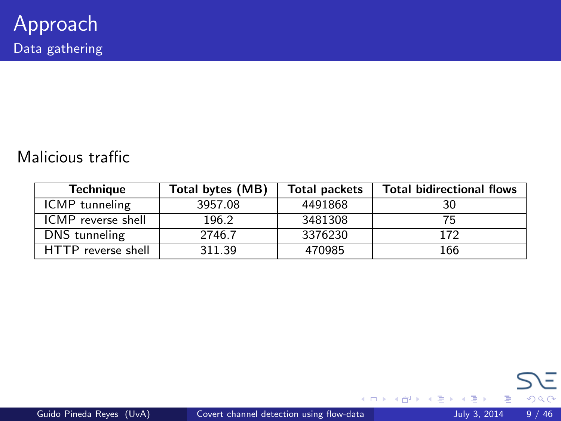#### Malicious traffic

| <b>Technique</b>          | Total bytes (MB) | <b>Total packets</b> | <b>Total bidirectional flows</b> |
|---------------------------|------------------|----------------------|----------------------------------|
| ICMP tunneling            | 3957.08          | 4491868              | 30                               |
| <b>ICMP</b> reverse shell | 196.2            | 3481308              |                                  |
| DNS tunneling             | 2746.7           | 3376230              | 172                              |
| HTTP reverse shell        | 311.39           | 470985               | 166                              |

重

 $299$ 

イロト イ部 トメ ヨ トメ ヨト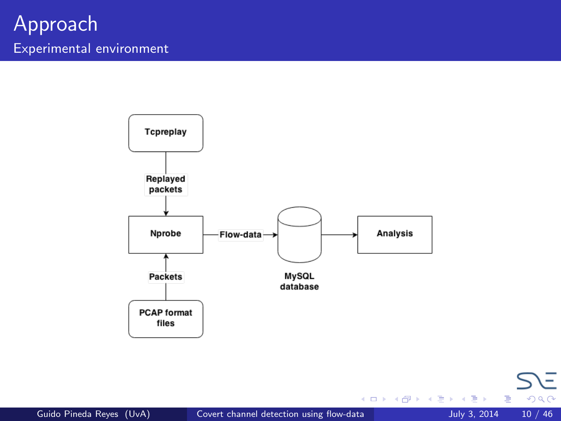

重

 $299$ 

イロト イ部 トメ ヨ トメ ヨト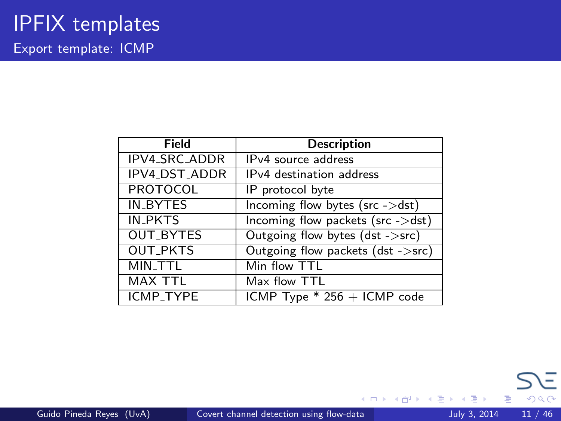| Field                | <b>Description</b>                              |  |  |
|----------------------|-------------------------------------------------|--|--|
| <b>IPV4_SRC_ADDR</b> | IP <sub>v4</sub> source address                 |  |  |
| IPV4_DST_ADDR        | IPv4 destination address                        |  |  |
| <b>PROTOCOL</b>      | IP protocol byte                                |  |  |
| <b>IN_BYTES</b>      | Incoming flow bytes (src ->dst)                 |  |  |
| <b>IN_PKTS</b>       | Incoming flow packets ( $src$ - $>dst$ )        |  |  |
| <b>OUT_BYTES</b>     | Outgoing flow bytes (dst ->src)                 |  |  |
| <b>OUT_PKTS</b>      | Outgoing flow packets (dst ->src)               |  |  |
| MIN_TTL              | Min flow TTL                                    |  |  |
| MAX_TTL              | Max flow TTL                                    |  |  |
| ICMP_TYPE            | $\overline{\text{ICMP}}$ Type * 256 + ICMP code |  |  |

**← ロ ▶ → イ 同** 

 $\rightarrow$  $\sim$  4. œ.  $\rightarrow$  $\mathcal{A}$ 

þ.

Þ

重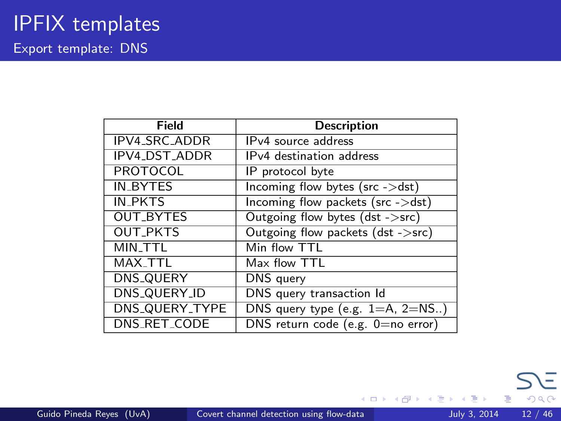| Field                | <b>Description</b>                     |  |  |
|----------------------|----------------------------------------|--|--|
| IPV4_SRC_ADDR        | IP <sub>v4</sub> source address        |  |  |
| <b>IPV4_DST_ADDR</b> | IPv4 destination address               |  |  |
| <b>PROTOCOL</b>      | IP protocol byte                       |  |  |
| <b>IN_BYTES</b>      | Incoming flow bytes ( $src$ - $>dst$ ) |  |  |
| IN PKTS              | Incoming flow packets (src ->dst)      |  |  |
| <b>OUT_BYTES</b>     | Outgoing flow bytes (dst ->src)        |  |  |
| <b>OUT_PKTS</b>      | Outgoing flow packets (dst ->src)      |  |  |
| MIN_TTL              | Min flow TTL                           |  |  |
| MAX_TTL              | Max flow TTL                           |  |  |
| DNS_QUERY            | DNS query                              |  |  |
| DNS_QUERY_ID         | DNS query transaction Id               |  |  |
| DNS_QUERY_TYPE       | DNS query type (e.g. $1=$ A, $2=$ NS)  |  |  |
| DNS_RET_CODE         | DNS return code (e.g. 0=no error)      |  |  |

 $\Rightarrow$ 

 $4$  ロ }  $4$   $4$   $9$  }  $4$   $\equiv$  }  $-4$ 

重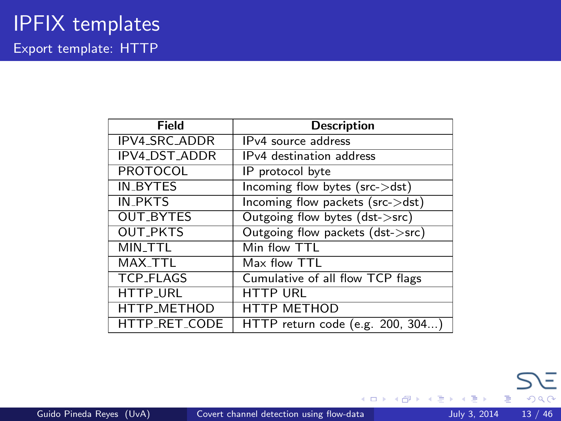| Field                | <b>Description</b>                   |  |  |
|----------------------|--------------------------------------|--|--|
| IPV4_SRC_ADDR        | IP <sub>v4</sub> source address      |  |  |
| <b>IPV4_DST_ADDR</b> | IP <sub>v4</sub> destination address |  |  |
| PROTOCOL             | IP protocol byte                     |  |  |
| <b>IN_BYTES</b>      | Incoming flow bytes (src->dst)       |  |  |
| <b>IN_PKTS</b>       | Incoming flow packets (src->dst)     |  |  |
| <b>OUT_BYTES</b>     | Outgoing flow bytes (dst->src)       |  |  |
| <b>OUT_PKTS</b>      | Outgoing flow packets (dst->src)     |  |  |
| <b>MIN_TTL</b>       | Min flow TTL                         |  |  |
| MAX_TTL              | Max flow TTL                         |  |  |
| <b>TCP_FLAGS</b>     | Cumulative of all flow TCP flags     |  |  |
| <b>HTTP_URL</b>      | <b>HTTP URL</b>                      |  |  |
| HTTP_METHOD          | <b>HTTP METHOD</b>                   |  |  |
| HTTP_RET_CODE        | HTTP return code (e.g. 200, 304)     |  |  |

Þ

**K ロ ト K 何 ト K ヨ ト K** 

重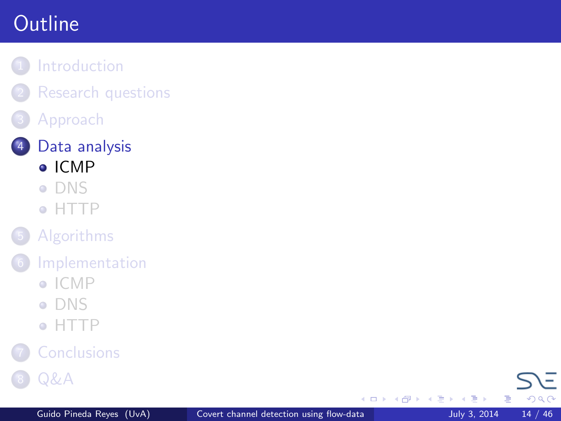# <span id="page-13-0"></span>**Outline**

- **[Introduction](#page-2-0)** 
	- **[Research questions](#page-6-0)**
	- **[Approach](#page-7-0)**



- [DNS](#page-17-0)
- [HTTP](#page-24-0)
- **[Algorithms](#page-29-0)**
- **[Implementation](#page-33-0)** 
	- $\bullet$  [ICMP](#page-33-0)
	- [DNS](#page-36-0)
	- [HTTP](#page-38-0)



**[Q&A](#page-44-0)** 

4 D F ×. a.  $\rightarrow$ 一不 医小头  $-4$ 

重 J.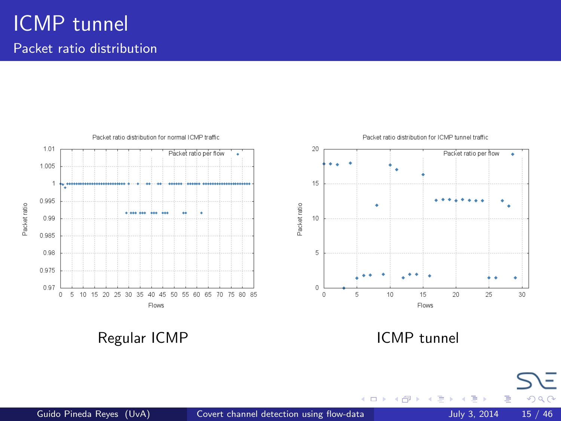## ICMP tunnel Packet ratio distribution



Regular ICMP **ICMP ICMP ICMP** tunnel

×. ×. ÷ ×

4.0.3

Þ

 $QQ$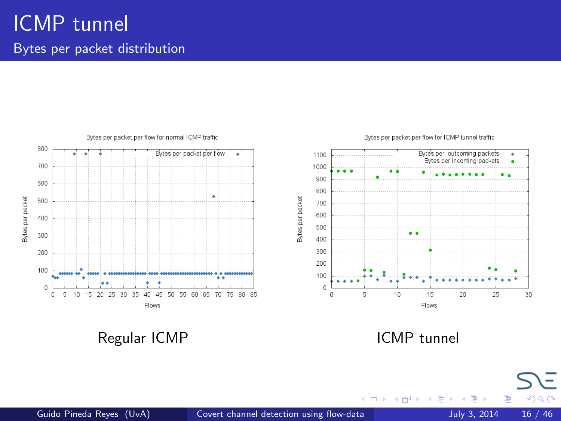

Regular ICMP **ICMP** ICMP tunnel

4 D F

a. ×.  $\mathcal{A}$ э ×

E

 $QQ$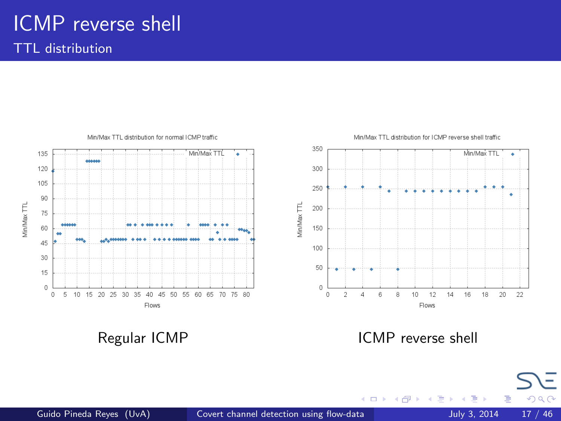# ICMP reverse shell

TTL distribution



Regular ICMP **ICMP** reverse shell

4 D F

 $200$ 

Þ

э ×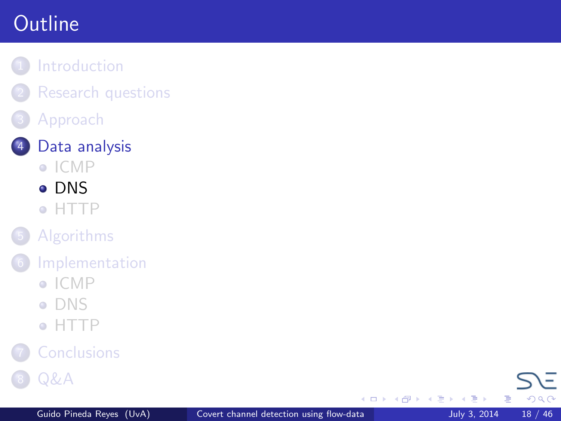# <span id="page-17-0"></span>**Outline**

- **[Introduction](#page-2-0)** 
	- **[Research questions](#page-6-0)**
	- **[Approach](#page-7-0)**



- $\bullet$  [ICMP](#page-13-0)
- [DNS](#page-17-0)
- [HTTP](#page-24-0)
- **[Algorithms](#page-29-0)**
- **[Implementation](#page-33-0)** 
	- $\bullet$  [ICMP](#page-33-0)
	- [DNS](#page-36-0)
	- [HTTP](#page-38-0)



**[Q&A](#page-44-0)** 

4 D F ×. a.  $\rightarrow$  $\rightarrow$   $\rightarrow$   $\rightarrow$ 

重 J.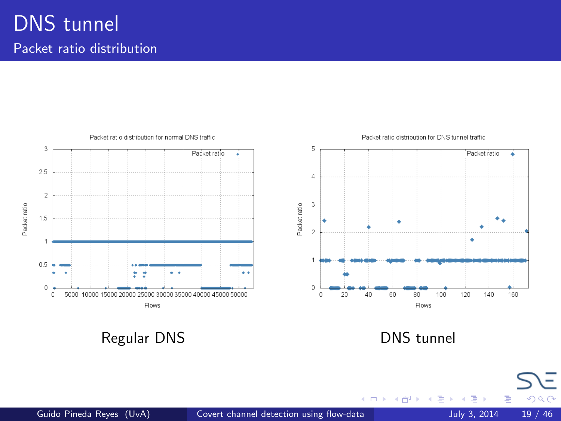## DNS tunnel Packet ratio distribution



Regular DNS **DNS** tunnel

4 日下

×.  $\sim$  $\leftarrow$   $\equiv$  $\rightarrow$  $\mathcal{A}$ 

þ

Ξ

Þ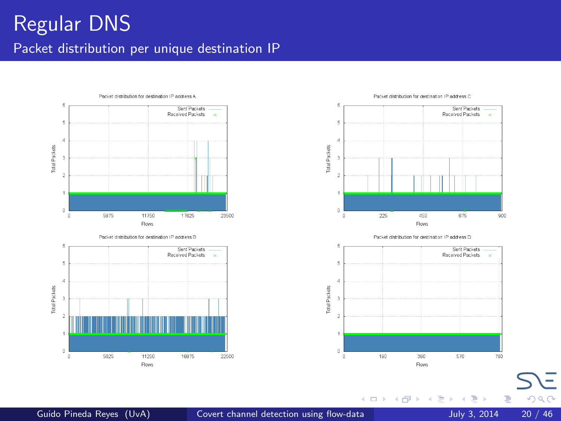









4 0 8

∢母  $\rightarrow$ -4 B  $\rightarrow$  $\mathcal{A}$  Ξ

Þ

 $QQ$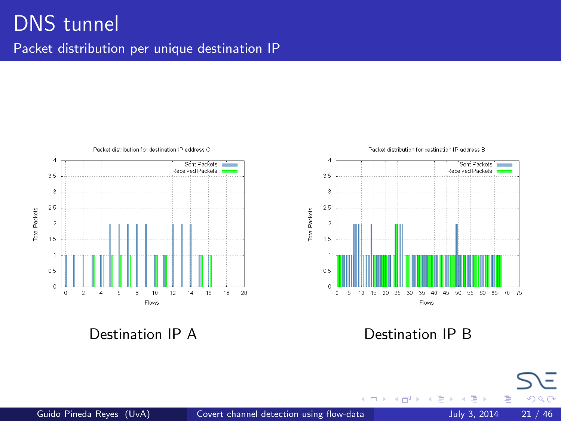## DNS tunnel Packet distribution per unique destination IP



Destination IP A Destination IP B



4 日下

 $\mathcal{A}$  $\sim$ ×. э ×  $\mathcal{A}$ 

×

Þ

 $QQ$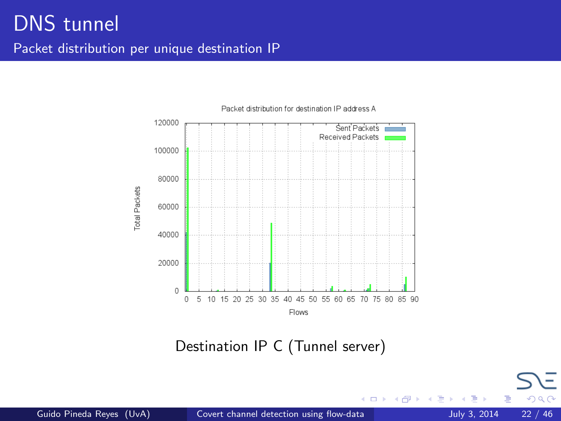

Packet distribution for destination IP address A

Destination IP C (Tunnel server)

4 0 8

 $\sim$ ×. э  $\rightarrow$   $\Omega$ 

E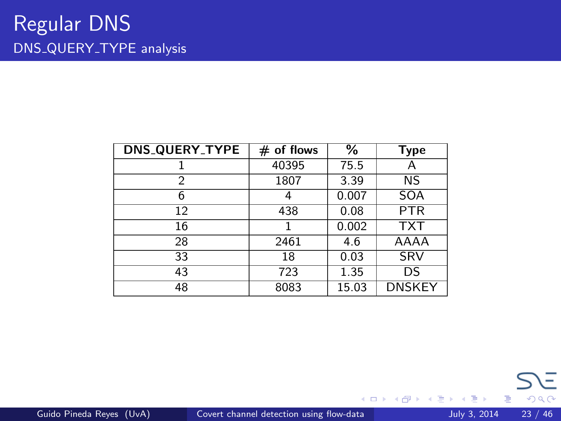| <b>DNS_QUERY_TYPE</b> | $#$ of flows | ℅     | <b>Type</b>   |
|-----------------------|--------------|-------|---------------|
|                       | 40395        | 75.5  | Α             |
| 2                     | 1807         | 3.39  | <b>NS</b>     |
| 6                     |              | 0.007 | <b>SOA</b>    |
| 12                    | 438          | 0.08  | <b>PTR</b>    |
| 16                    |              | 0.002 | <b>TXT</b>    |
| 28                    | 2461         | 4.6   | AAAA          |
| 33                    | 18           | 0.03  | SRV           |
| 43                    | 723          | 1.35  | DS            |
| 48                    | 8083         | 15.03 | <b>DNSKEY</b> |

重

 $\left\{ \begin{array}{ccc} 1 & 0 & 0 \\ 0 & 1 & 0 \end{array} \right.$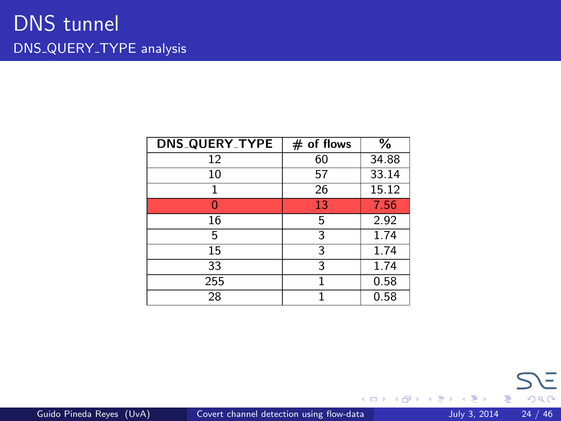| <b>DNS_QUERY_TYPE</b> | $#$ of flows | $\frac{9}{6}$ |
|-----------------------|--------------|---------------|
| 12                    | 60           | 34.88         |
| 10                    | 57           | 33.14         |
| 1                     | 26           | 15.12         |
|                       | 13           | 7.56          |
| 16                    | 5            | 2.92          |
| 5                     | 3            | 1.74          |
| 15                    | 3            | 1.74          |
| 33                    | 3            | 1.74          |
| 255                   |              | 0.58          |
| 28                    | 1            | 0.58          |

重

 $\left\{ \begin{array}{ccc} 1 & 0 & 0 \\ 0 & 1 & 0 \end{array} \right.$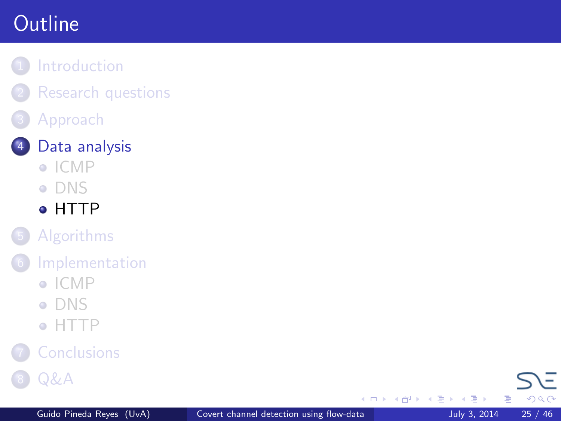# <span id="page-24-0"></span>**Outline**

- **[Introduction](#page-2-0)** 
	- **[Research questions](#page-6-0)**
	- **[Approach](#page-7-0)**



- $\bullet$  [ICMP](#page-13-0)
- **[DNS](#page-17-0)**
- [HTTP](#page-24-0)
- **[Algorithms](#page-29-0)**
- **[Implementation](#page-33-0)** 
	- $\bullet$  [ICMP](#page-33-0)
	- [DNS](#page-36-0)
	- [HTTP](#page-38-0)



**[Q&A](#page-44-0)** 

4 D F ×. 闹  $\rightarrow$  $\rightarrow$   $\rightarrow$   $\rightarrow$ 

重 J. 画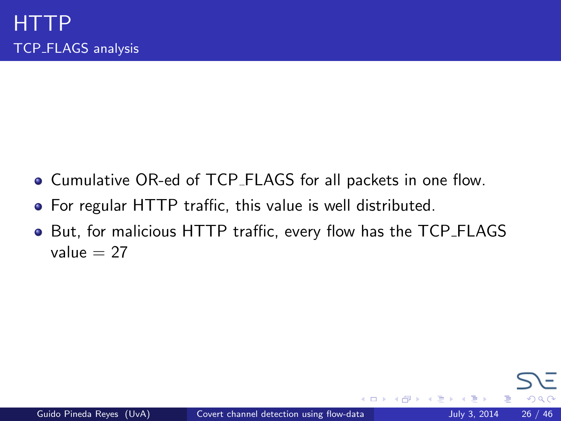- Cumulative OR-ed of TCP FLAGS for all packets in one flow.
- For regular HTTP traffic, this value is well distributed.
- But, for malicious HTTP traffic, every flow has the TCP\_FLAGS value  $= 27$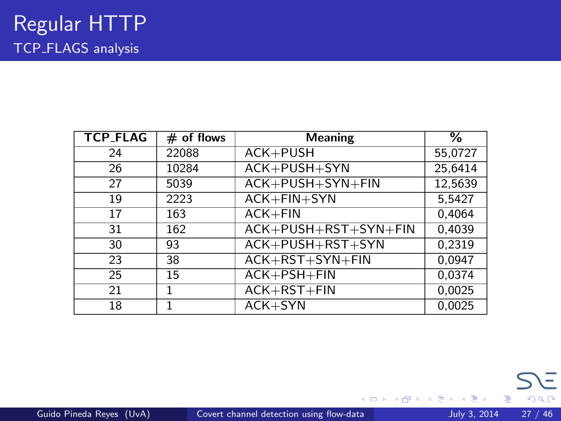| <b>TCP_FLAG</b> | $#$ of flows | <b>Meaning</b>       | %       |
|-----------------|--------------|----------------------|---------|
| 24              | 22088        | $ACK + PUSH$         | 55,0727 |
| 26              | 10284        | ACK+PUSH+SYN         | 25,6414 |
| 27              | 5039         | ACK+PUSH+SYN+FIN     | 12,5639 |
| 19              | 2223         | $ACK + FIN + SYN$    | 5,5427  |
| 17              | 163          | $ACK + FIN$          | 0,4064  |
| 31              | 162          | ACK+PUSH+RST+SYN+FIN | 0,4039  |
| 30              | 93           | $ACK+PUSH+RST+SYN$   | 0.2319  |
| 23              | 38           | ACK+RST+SYN+FIN      | 0.0947  |
| 25              | 15           | $ACK + PSH + FIN$    | 0.0374  |
| 21              | 1            | $ACK+RST+FIN$        | 0.0025  |
| 18              |              | $ACK+SYN$            | 0.0025  |

重

イロト イ部 トメ ヨ トメ ヨト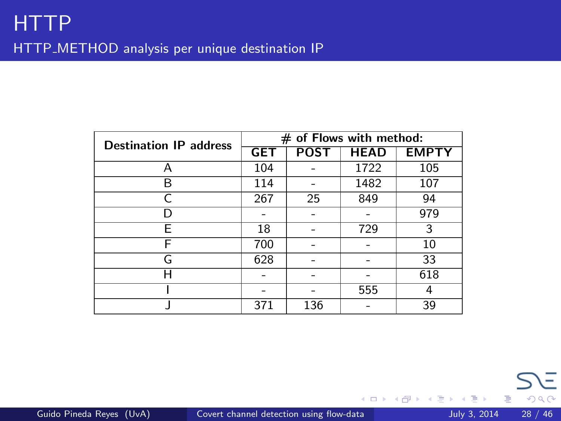| <b>Destination IP address</b> | $#$ of Flows with method: |             |             |              |
|-------------------------------|---------------------------|-------------|-------------|--------------|
|                               | <b>GET</b>                | <b>POST</b> | <b>HEAD</b> | <b>EMPTY</b> |
| А                             | 104                       |             | 1722        | 105          |
| R                             | 114                       |             | 1482        | 107          |
|                               | 267                       | 25          | 849         | 94           |
|                               |                           |             |             | 979          |
| F                             | 18                        |             | 729         | 3            |
| F                             | 700                       |             |             | 10           |
| G                             | 628                       |             |             | 33           |
| н                             |                           |             |             | 618          |
|                               |                           |             | 555         | 4            |
|                               | 371                       | 136         |             | 39           |

重

 $299$ 

 $\left\{ \begin{array}{ccc} 1 & 0 & 0 \\ 0 & 1 & 0 \end{array} \right.$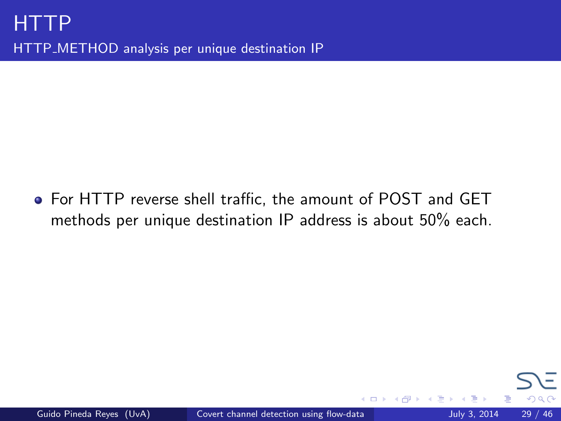For HTTP reverse shell traffic, the amount of POST and GET methods per unique destination IP address is about 50% each.

4 D F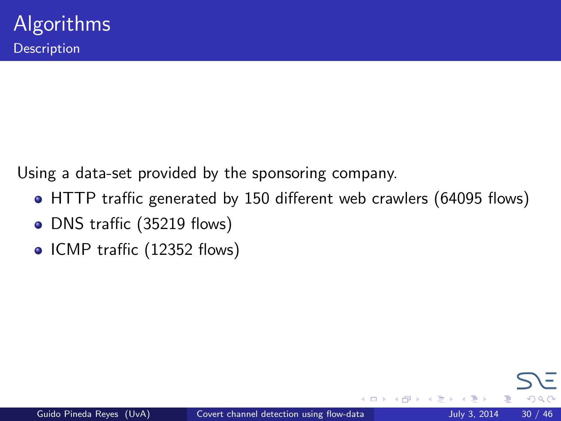<span id="page-29-0"></span>Using a data-set provided by the sponsoring company.

- HTTP traffic generated by 150 different web crawlers (64095 flows)
- DNS traffic (35219 flows)
- ICMP traffic (12352 flows)

4 D F

つひひ

÷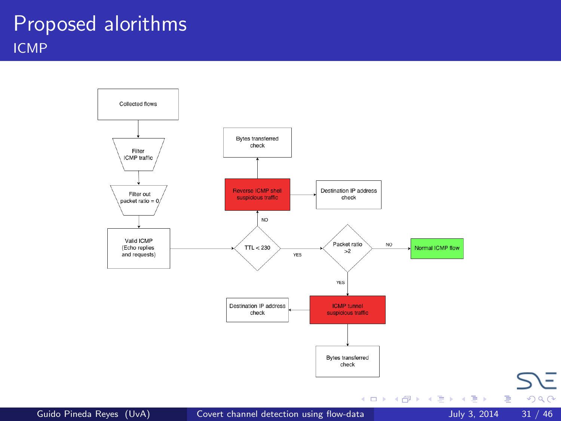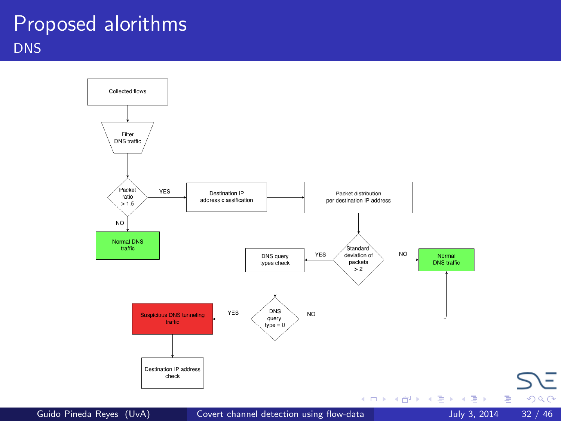## Proposed alorithms **DNS**



Guido Pineda Reyes (UvA) [Covert channel detection using flow-data](#page-0-0) July 3, 2014 32 / 46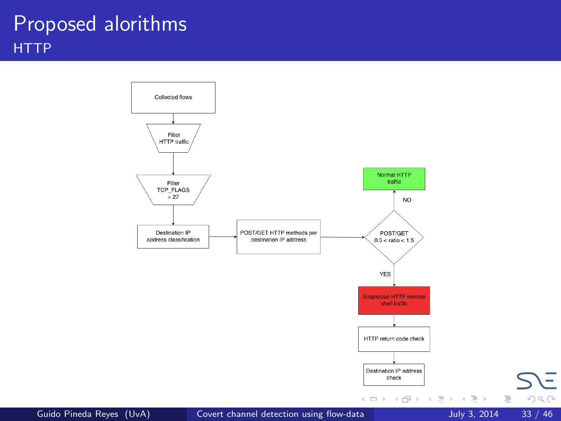## Proposed alorithms **HTTP**

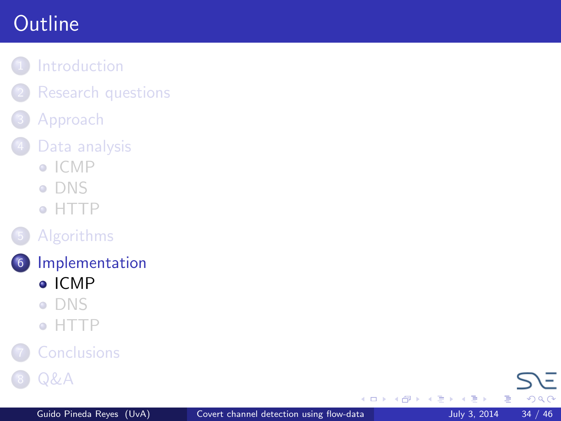# <span id="page-33-0"></span>**Outline**

- **[Introduction](#page-2-0)** 
	- **[Research questions](#page-6-0)**
- **[Approach](#page-7-0)**
- [Data analysis](#page-13-0)
	- $\bullet$  [ICMP](#page-13-0)
	- **[DNS](#page-17-0)**
	- [HTTP](#page-24-0)
- **[Algorithms](#page-29-0)**
- 6 [Implementation](#page-33-0) [ICMP](#page-33-0)
	- [DNS](#page-36-0)
	- [HTTP](#page-38-0)



**[Q&A](#page-44-0)** 

4 D F ×. a.  $\rightarrow$ **KID** K  $-4$ 

重 J. 目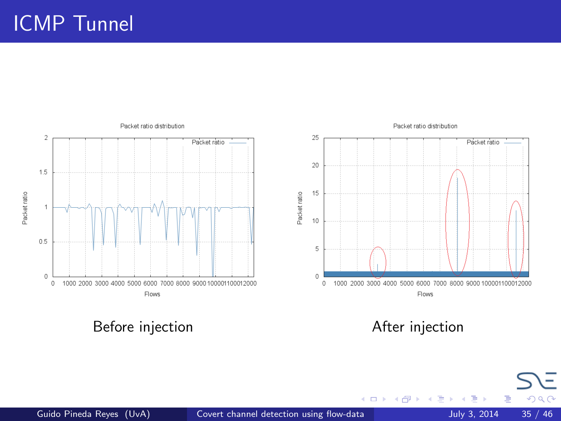# ICMP Tunnel



4 日下

×.  $\mathcal{A}$ э ×

Þ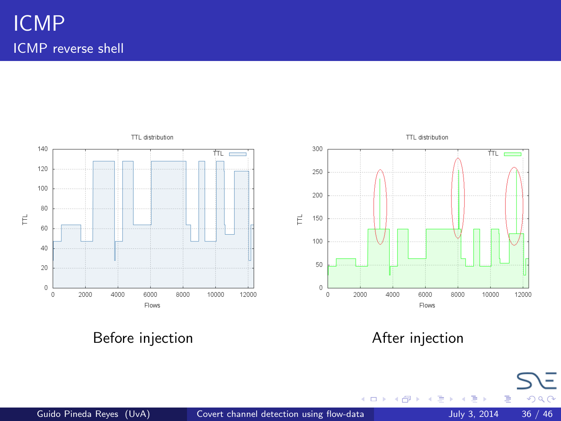

Before injection and a settlement of the After injection

4 日下 -∢ 母  $\,$ 一心 語  $\mathbf{p}$  $\triangleleft$  Þ

 $299$ 

÷,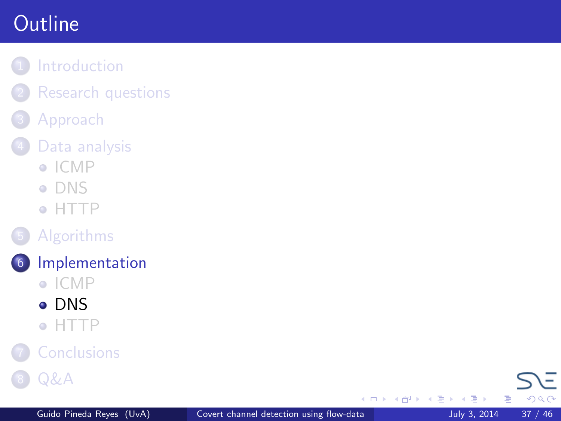# <span id="page-36-0"></span>**Outline**

- **[Introduction](#page-2-0)** 
	- **[Research questions](#page-6-0)**
- **[Approach](#page-7-0)**
- [Data analysis](#page-13-0)
	- $\bullet$  [ICMP](#page-13-0)
	- **[DNS](#page-17-0)**
	- [HTTP](#page-24-0)
- **[Algorithms](#page-29-0)**
- 6 [Implementation](#page-33-0)
	- $\bullet$  [ICMP](#page-33-0)
	- **[DNS](#page-36-0)**
	- [HTTP](#page-38-0)



**[Q&A](#page-44-0)** 

4 D F ×. a.  $\rightarrow$  $\rightarrow$   $\rightarrow$   $\rightarrow$ 

重 J. 目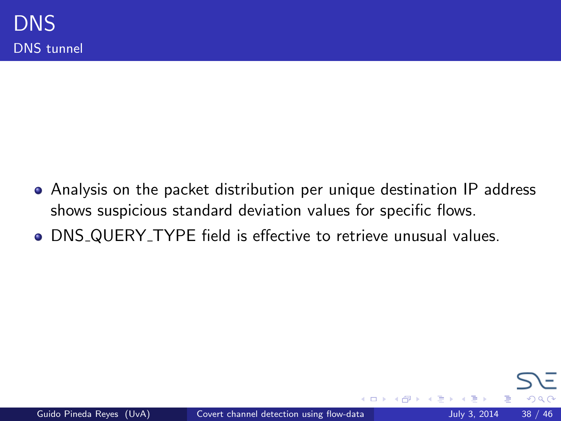Analysis on the packet distribution per unique destination IP address shows suspicious standard deviation values for specific flows.

4 D F

DNS QUERY TYPE field is effective to retrieve unusual values.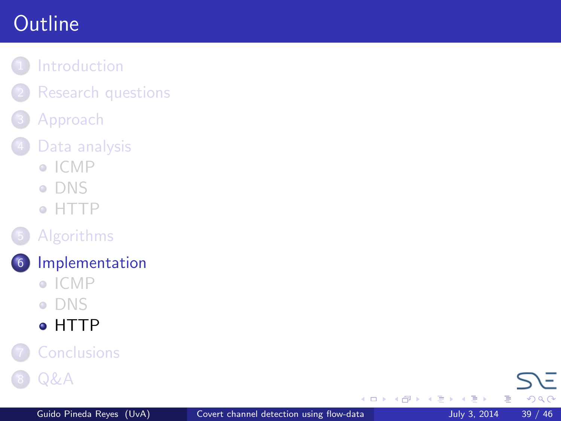# <span id="page-38-0"></span>**Outline**

- **[Introduction](#page-2-0)** 
	- **[Research questions](#page-6-0)**
- **[Approach](#page-7-0)**
- [Data analysis](#page-13-0)
	- $\bullet$  [ICMP](#page-13-0)
	- **[DNS](#page-17-0)**
	- [HTTP](#page-24-0)
- **[Algorithms](#page-29-0)**
- 6 [Implementation](#page-33-0)
	- $\bullet$  [ICMP](#page-33-0)
	- [DNS](#page-36-0)
	- o [HTTP](#page-38-0)



4 D F ×. a.  $\rightarrow$ **KID** K  $-4$ 

重 J. 目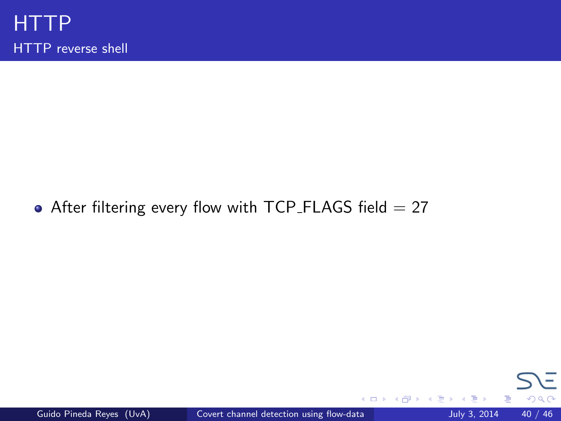#### • After filtering every flow with TCP\_FLAGS field  $= 27$

**K ロ ト K 何 ト K ヨ ト K** 

重 J.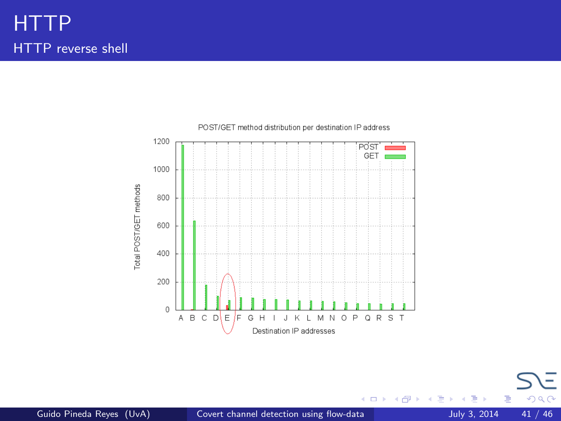

. p

活

 $299$ 

イロト イ部 トイモト イ毛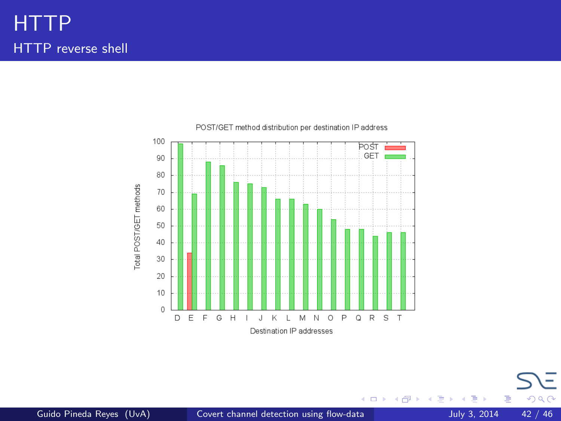

. p

活

メロメ メ都 メメ きょくき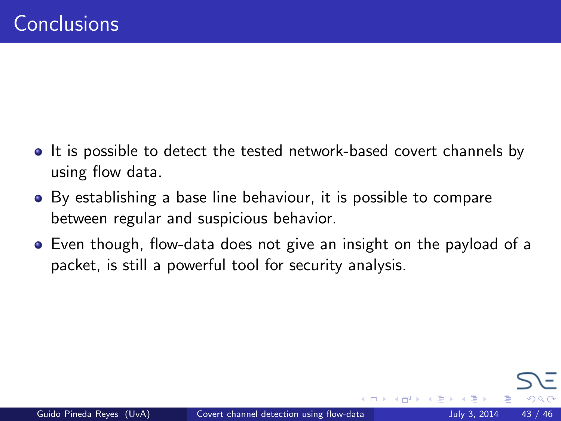- <span id="page-42-0"></span>• It is possible to detect the tested network-based covert channels by using flow data.
- By establishing a base line behaviour, it is possible to compare between regular and suspicious behavior.
- Even though, flow-data does not give an insight on the payload of a packet, is still a powerful tool for security analysis.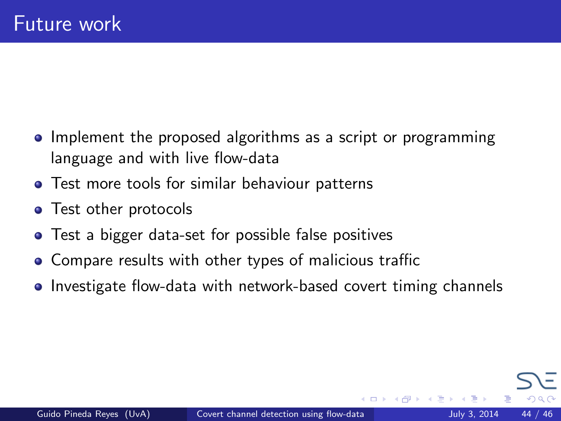- Implement the proposed algorithms as a script or programming language and with live flow-data
- **•** Test more tools for similar behaviour patterns
- Test other protocols
- Test a bigger data-set for possible false positives
- Compare results with other types of malicious traffic
- Investigate flow-data with network-based covert timing channels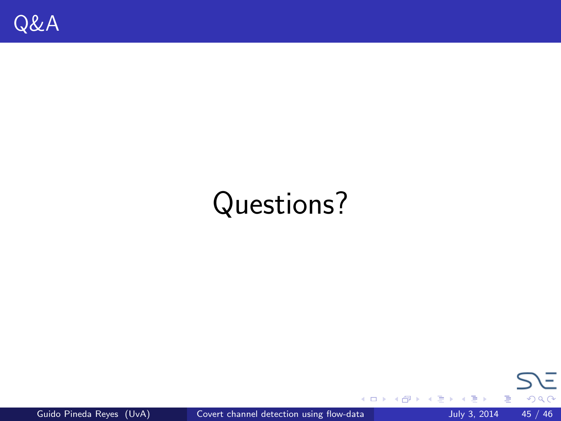# <span id="page-44-0"></span>Questions?



重

. p

イロト イ部 トイモト イ毛